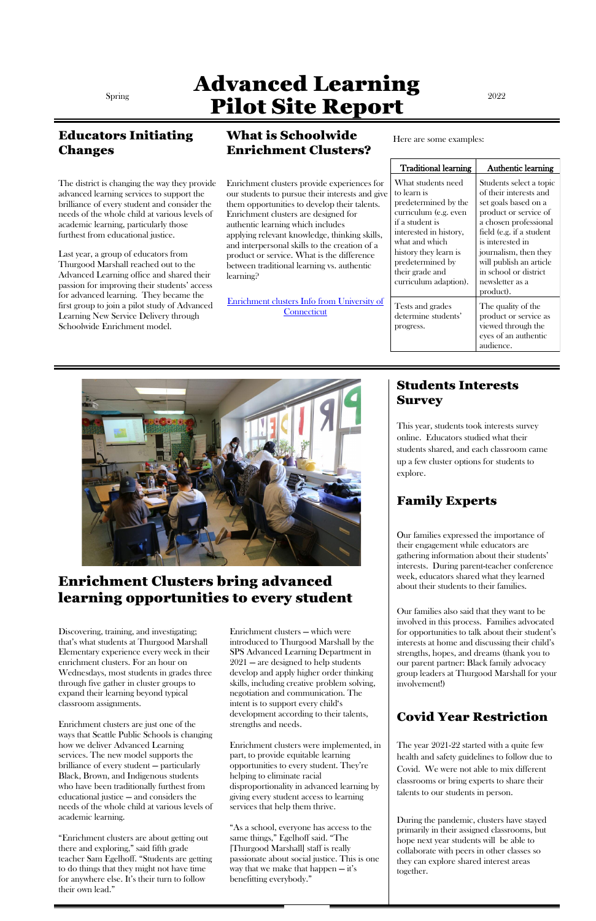# Spring **Advanced Learning** Pilot Site Report

#### Educators Initiating Changes

The district is changing the way they provide advanced learning services to support the brilliance of every student and consider the needs of the whole child at various levels of academic learning, particularly those furthest from educational justice.

Last year, a group of educators from Thurgood Marshall reached out to the Advanced Learning office and shared their passion for improving their students' access for advanced learning. They became the first group to join a pilot study of Advanced Learning New Service Delivery through Schoolwide Enrichment model.

[Enrichment clusters Info from University of](https://gifted.uconn.edu/enrichment_clusters-2/)  **Connecticut** 

#### What is Schoolwide Enrichment Clusters?

Enrichment clusters provide experiences for our students to pursue their interests and give them opportunities to develop their talents. Enrichment clusters are designed for authentic learning which includes applying relevant knowledge, thinking skills, and interpersonal skills to the creation of a product or service. What is the difference between traditional learning vs. authentic learning?

Here are some examples:

| <b>Traditional learning</b>                                                                                                                                                                                                                | <b>Authentic learning</b>                                                                                                                                                                                                                                                                |
|--------------------------------------------------------------------------------------------------------------------------------------------------------------------------------------------------------------------------------------------|------------------------------------------------------------------------------------------------------------------------------------------------------------------------------------------------------------------------------------------------------------------------------------------|
| What students need<br>to learn is<br>predetermined by the<br>curriculum (e.g. even<br>if a student is<br>interested in history,<br>what and which<br>history they learn is<br>predetermined by<br>their grade and<br>curriculum adaption). | Students select a topic<br>of their interests and<br>set goals based on a<br>product or service of<br>a chosen professional<br>field (e.g. if a student<br>is interested in<br>journalism, then they<br>will publish an article<br>in school or district<br>newsletter as a<br>product). |
| Tests and grades<br>determine students'<br>progress.                                                                                                                                                                                       | The quality of the<br>product or service as<br>viewed through the<br>eyes of an authentic<br>audience.                                                                                                                                                                                   |



#### Students Interests Survey

This year, students took interests survey online. Educators studied what their students shared, and each classroom came up a few cluster options for students to explore.

#### Family Experts

Our families expressed the importance of their engagement while educators are gathering information about their students' interests. During parent-teacher conference week, educators shared what they learned about their students to their families.

Our families also said that they want to be involved in this process. Families advocated for opportunities to talk about their student's interests at home and discussing their child's strengths, hopes, and dreams (thank you to our parent partner: Black family advocacy group leaders at Thurgood Marshall for your involvement!)

#### Covid Year Restriction

The year 2021-22 started with a quite few health and safety guidelines to follow due to Covid. We were not able to mix different classrooms or bring experts to share their talents to our students in person.

During the pandemic, clusters have stayed primarily in their assigned classrooms, but hope next year students will be able to collaborate with peers in other classes so they can explore shared interest areas together.

### Enrichment Clusters bring advanced learning opportunities to every student

Discovering, training, and investigating; that's what students at Thurgood Marshall Elementary experience every week in their enrichment clusters. For an hour on Wednesdays, most students in grades three

through five gather in cluster groups to expand their learning beyond typical classroom assignments.

Enrichment clusters are just one of the ways that Seattle Public Schools is changing how we deliver Advanced Learning services. The new model supports the brilliance of every student — particularly Black, Brown, and Indigenous students who have been traditionally furthest from educational justice — and considers the needs of the whole child at various levels of academic learning.

"Enrichment clusters are about getting out there and exploring," said fifth grade teacher Sam Egelhoff. "Students are getting to do things that they might not have time for anywhere else. It's their turn to follow their own lead."

Enrichment clusters — which were introduced to Thurgood Marshall by the SPS Advanced Learning Department in 2021 — are designed to help students develop and apply higher order thinking skills, including creative problem solving, negotiation and communication. The intent is to support every child's development according to their talents, strengths and needs.

Enrichment clusters were implemented, in part, to provide equitable learning opportunities to every student. They're helping to eliminate racial disproportionality in advanced learning by giving every student access to learning services that help them thrive.

"As a school, everyone has access to the same things," Egelhoff said. "The [Thurgood Marshall] staff is really passionate about social justice. This is one way that we make that happen  $-$  it's benefitting everybody."